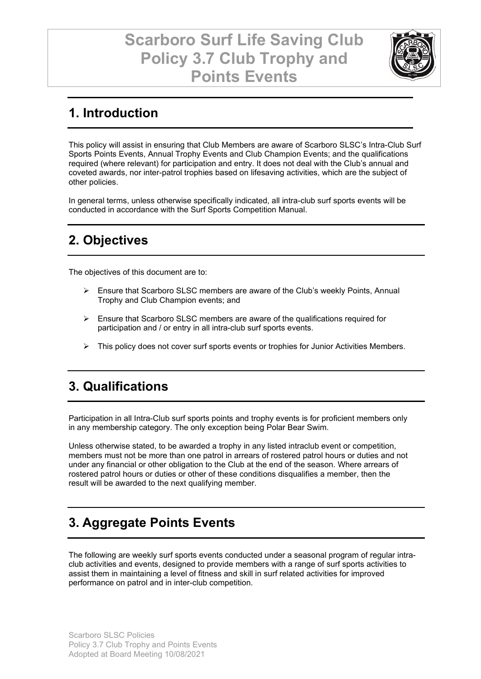

### **1. Introduction**

This policy will assist in ensuring that Club Members are aware of Scarboro SLSC's Intra-Club Surf Sports Points Events, Annual Trophy Events and Club Champion Events; and the qualifications required (where relevant) for participation and entry. It does not deal with the Club's annual and coveted awards, nor inter-patrol trophies based on lifesaving activities, which are the subject of other policies.

In general terms, unless otherwise specifically indicated, all intra-club surf sports events will be conducted in accordance with the Surf Sports Competition Manual.

## **2. Objectives**

The objectives of this document are to:

- Ensure that Scarboro SLSC members are aware of the Club's weekly Points, Annual Trophy and Club Champion events; and
- $\triangleright$  Ensure that Scarboro SLSC members are aware of the qualifications required for participation and / or entry in all intra-club surf sports events.
- $\triangleright$  This policy does not cover surf sports events or trophies for Junior Activities Members.

### **3. Qualifications**

Participation in all Intra-Club surf sports points and trophy events is for proficient members only in any membership category. The only exception being Polar Bear Swim.

Unless otherwise stated, to be awarded a trophy in any listed intraclub event or competition, members must not be more than one patrol in arrears of rostered patrol hours or duties and not under any financial or other obligation to the Club at the end of the season. Where arrears of rostered patrol hours or duties or other of these conditions disqualifies a member, then the result will be awarded to the next qualifying member.

### **3. Aggregate Points Events**

The following are weekly surf sports events conducted under a seasonal program of regular intraclub activities and events, designed to provide members with a range of surf sports activities to assist them in maintaining a level of fitness and skill in surf related activities for improved performance on patrol and in inter-club competition.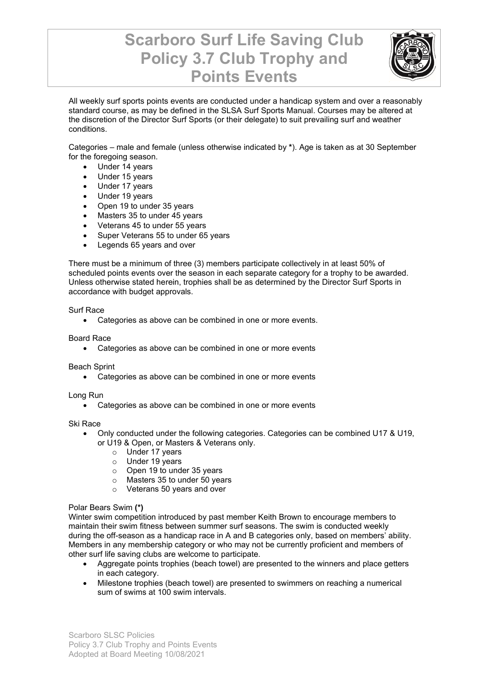

All weekly surf sports points events are conducted under a handicap system and over a reasonably standard course, as may be defined in the SLSA Surf Sports Manual. Courses may be altered at the discretion of the Director Surf Sports (or their delegate) to suit prevailing surf and weather conditions.

Categories – male and female (unless otherwise indicated by **\***). Age is taken as at 30 September for the foregoing season.

- Under 14 years
- Under 15 years
- Under 17 years
- Under 19 years
- Open 19 to under 35 years
- Masters 35 to under 45 years
- Veterans 45 to under 55 years
- Super Veterans 55 to under 65 years
- Legends 65 years and over

There must be a minimum of three (3) members participate collectively in at least 50% of scheduled points events over the season in each separate category for a trophy to be awarded. Unless otherwise stated herein, trophies shall be as determined by the Director Surf Sports in accordance with budget approvals.

#### Surf Race

• Categories as above can be combined in one or more events.

Board Race

• Categories as above can be combined in one or more events

Beach Sprint

• Categories as above can be combined in one or more events

Long Run

• Categories as above can be combined in one or more events

Ski Race

- Only conducted under the following categories. Categories can be combined U17 & U19, or U19 & Open, or Masters & Veterans only.
	- o Under 17 years
	- o Under 19 years
	- $\circ$  Open 19 to under 35 years
	- o Masters 35 to under 50 years
	- o Veterans 50 years and over

#### Polar Bears Swim **(\*)**

Winter swim competition introduced by past member Keith Brown to encourage members to maintain their swim fitness between summer surf seasons. The swim is conducted weekly during the off-season as a handicap race in A and B categories only, based on members' ability. Members in any membership category or who may not be currently proficient and members of other surf life saving clubs are welcome to participate.

- Aggregate points trophies (beach towel) are presented to the winners and place getters in each category.
- Milestone trophies (beach towel) are presented to swimmers on reaching a numerical sum of swims at 100 swim intervals.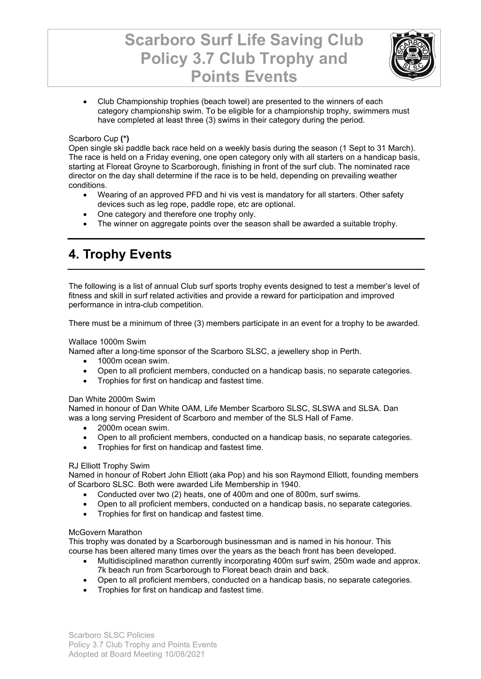

• Club Championship trophies (beach towel) are presented to the winners of each category championship swim. To be eligible for a championship trophy, swimmers must have completed at least three (3) swims in their category during the period.

#### Scarboro Cup **(\*)**

Open single ski paddle back race held on a weekly basis during the season (1 Sept to 31 March). The race is held on a Friday evening, one open category only with all starters on a handicap basis, starting at Floreat Groyne to Scarborough, finishing in front of the surf club. The nominated race director on the day shall determine if the race is to be held, depending on prevailing weather conditions.

- Wearing of an approved PFD and hi vis vest is mandatory for all starters. Other safety devices such as leg rope, paddle rope, etc are optional.
- One category and therefore one trophy only.
- The winner on aggregate points over the season shall be awarded a suitable trophy.

## **4. Trophy Events**

The following is a list of annual Club surf sports trophy events designed to test a member's level of fitness and skill in surf related activities and provide a reward for participation and improved performance in intra-club competition.

There must be a minimum of three (3) members participate in an event for a trophy to be awarded.

#### Wallace 1000m Swim

Named after a long-time sponsor of the Scarboro SLSC, a jewellery shop in Perth.

- 1000m ocean swim.
- Open to all proficient members, conducted on a handicap basis, no separate categories.
- Trophies for first on handicap and fastest time.

#### Dan White 2000m Swim

Named in honour of Dan White OAM, Life Member Scarboro SLSC, SLSWA and SLSA. Dan was a long serving President of Scarboro and member of the SLS Hall of Fame.

- 2000m ocean swim.
- Open to all proficient members, conducted on a handicap basis, no separate categories.
- Trophies for first on handicap and fastest time.

#### RJ Elliott Trophy Swim

Named in honour of Robert John Elliott (aka Pop) and his son Raymond Elliott, founding members of Scarboro SLSC. Both were awarded Life Membership in 1940.

- Conducted over two (2) heats, one of 400m and one of 800m, surf swims.
- Open to all proficient members, conducted on a handicap basis, no separate categories.
- Trophies for first on handicap and fastest time.

#### McGovern Marathon

This trophy was donated by a Scarborough businessman and is named in his honour. This course has been altered many times over the years as the beach front has been developed.

- Multidisciplined marathon currently incorporating 400m surf swim, 250m wade and approx. 7k beach run from Scarborough to Floreat beach drain and back.
- Open to all proficient members, conducted on a handicap basis, no separate categories.
- Trophies for first on handicap and fastest time.

Scarboro SLSC Policies Policy 3.7 Club Trophy and Points Events Adopted at Board Meeting 10/08/2021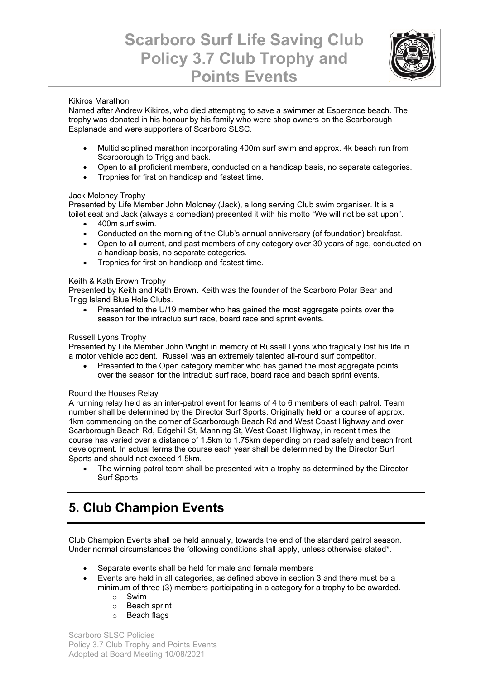

#### Kikiros Marathon

Named after Andrew Kikiros, who died attempting to save a swimmer at Esperance beach. The trophy was donated in his honour by his family who were shop owners on the Scarborough Esplanade and were supporters of Scarboro SLSC.

- Multidisciplined marathon incorporating 400m surf swim and approx. 4k beach run from Scarborough to Trigg and back.
- Open to all proficient members, conducted on a handicap basis, no separate categories.
- Trophies for first on handicap and fastest time.

#### Jack Moloney Trophy

Presented by Life Member John Moloney (Jack), a long serving Club swim organiser. It is a toilet seat and Jack (always a comedian) presented it with his motto "We will not be sat upon".

- 400m surf swim.
- Conducted on the morning of the Club's annual anniversary (of foundation) breakfast.
- Open to all current, and past members of any category over 30 years of age, conducted on a handicap basis, no separate categories.
- Trophies for first on handicap and fastest time.

#### Keith & Kath Brown Trophy

Presented by Keith and Kath Brown. Keith was the founder of the Scarboro Polar Bear and Trigg Island Blue Hole Clubs.

• Presented to the U/19 member who has gained the most aggregate points over the season for the intraclub surf race, board race and sprint events.

#### Russell Lyons Trophy

Presented by Life Member John Wright in memory of Russell Lyons who tragically lost his life in a motor vehicle accident. Russell was an extremely talented all-round surf competitor.

Presented to the Open category member who has gained the most aggregate points over the season for the intraclub surf race, board race and beach sprint events.

#### Round the Houses Relay

A running relay held as an inter-patrol event for teams of 4 to 6 members of each patrol. Team number shall be determined by the Director Surf Sports. Originally held on a course of approx. 1km commencing on the corner of Scarborough Beach Rd and West Coast Highway and over Scarborough Beach Rd, Edgehill St, Manning St, West Coast Highway, in recent times the course has varied over a distance of 1.5km to 1.75km depending on road safety and beach front development. In actual terms the course each year shall be determined by the Director Surf Sports and should not exceed 1.5km.

• The winning patrol team shall be presented with a trophy as determined by the Director Surf Sports.

### **5. Club Champion Events**

Club Champion Events shall be held annually, towards the end of the standard patrol season. Under normal circumstances the following conditions shall apply, unless otherwise stated\*.

- Separate events shall be held for male and female members
- Events are held in all categories, as defined above in section 3 and there must be a minimum of three (3) members participating in a category for a trophy to be awarded.
	- o Swim
	- o Beach sprint
	- o Beach flags

Scarboro SLSC Policies Policy 3.7 Club Trophy and Points Events Adopted at Board Meeting 10/08/2021